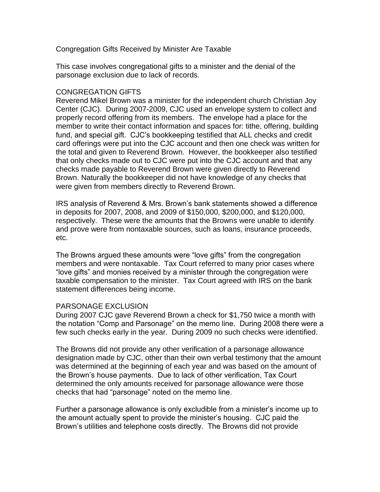Congregation Gifts Received by Minister Are Taxable

This case involves congregational gifts to a minister and the denial of the parsonage exclusion due to lack of records.

## CONGREGATION GIFTS

Reverend Mikel Brown was a minister for the independent church Christian Joy Center (CJC). During 2007-2009, CJC used an envelope system to collect and properly record offering from its members. The envelope had a place for the member to write their contact information and spaces for: tithe, offering, building fund, and special gift. CJC's bookkeeping testified that ALL checks and credit card offerings were put into the CJC account and then one check was written for the total and given to Reverend Brown. However, the bookkeeper also testified that only checks made out to CJC were put into the CJC account and that any checks made payable to Reverend Brown were given directly to Reverend Brown. Naturally the bookkeeper did not have knowledge of any checks that were given from members directly to Reverend Brown.

IRS analysis of Reverend & Mrs. Brown's bank statements showed a difference in deposits for 2007, 2008, and 2009 of \$150,000, \$200,000, and \$120,000, respectively. These were the amounts that the Browns were unable to identify and prove were from nontaxable sources, such as loans, insurance proceeds, etc.

The Browns argued these amounts were "love gifts" from the congregation members and were nontaxable. Tax Court referred to many prior cases where "love gifts" and monies received by a minister through the congregation were taxable compensation to the minister. Tax Court agreed with IRS on the bank statement differences being income.

## PARSONAGE EXCLUSION

During 2007 CJC gave Reverend Brown a check for \$1,750 twice a month with the notation "Comp and Parsonage" on the memo line. During 2008 there were a few such checks early in the year. During 2009 no such checks were identified.

The Browns did not provide any other verification of a parsonage allowance designation made by CJC, other than their own verbal testimony that the amount was determined at the beginning of each year and was based on the amount of the Brown's house payments. Due to lack of other verification, Tax Court determined the only amounts received for parsonage allowance were those checks that had "parsonage" noted on the memo line.

Further a parsonage allowance is only excludible from a minister's income up to the amount actually spent to provide the minister's housing. CJC paid the Brown's utilities and telephone costs directly. The Browns did not provide